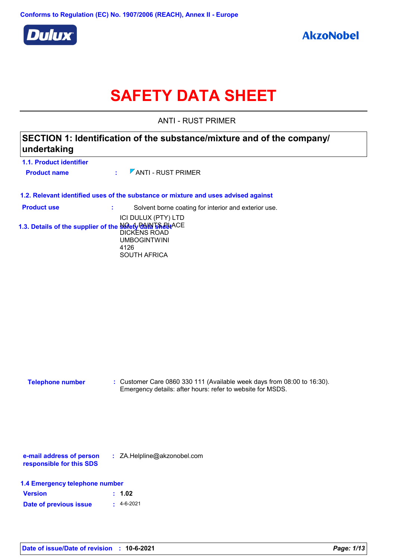

# **SAFETY DATA SHEET**

ANTI - RUST PRIMER

### **SECTION 1: Identification of the substance/mixture and of the company/ undertaking**

| 1.1. Product identifier                                 |               |                                                                                    |
|---------------------------------------------------------|---------------|------------------------------------------------------------------------------------|
| <b>Product name</b>                                     |               | $\mathcal{L}$ / ANTI - RUST PRIMER                                                 |
|                                                         |               |                                                                                    |
|                                                         |               | 1.2. Relevant identified uses of the substance or mixture and uses advised against |
| <b>Product use</b>                                      | <b>Sec. 3</b> | Solvent borne coating for interior and exterior use.                               |
|                                                         |               | ICI DULUX (PTY) LTD                                                                |
| 1.3. Details of the supplier of the Salety PAN 59 PUACE |               |                                                                                    |

DICKENS ROAD UMBOGINTWINI 4126 SOUTH AFRICA

| <b>Telephone number</b> | : Customer Care 0860 330 111 (Available week days from $08:00$ to 16:30). |
|-------------------------|---------------------------------------------------------------------------|
|                         | Emergency details: after hours: refer to website for MSDS.                |

**e-mail address of person responsible for this SDS :** ZA.Helpline@akzonobel.com

|  |  | 1.4 Emergency telephone number |  |
|--|--|--------------------------------|--|
|--|--|--------------------------------|--|

| <b>Version</b>         | : 1.02         |
|------------------------|----------------|
| Date of previous issue | $\pm$ 4-6-2021 |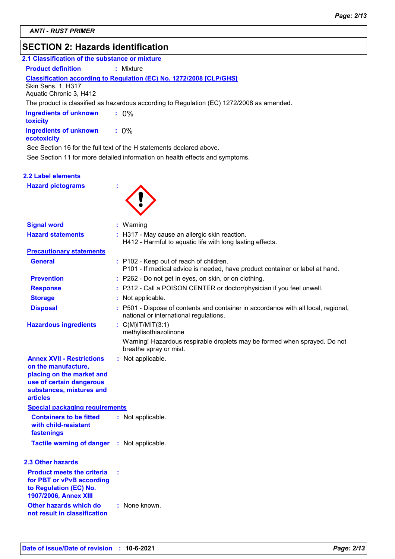### **SECTION 2: Hazards identification**

| SECTION 2: Hazards Identification                    |                                                                                                                         |
|------------------------------------------------------|-------------------------------------------------------------------------------------------------------------------------|
| 2.1 Classification of the substance or mixture       |                                                                                                                         |
| <b>Product definition</b>                            | : Mixture                                                                                                               |
|                                                      | <b>Classification according to Regulation (EC) No. 1272/2008 [CLP/GHS]</b>                                              |
| <b>Skin Sens. 1, H317</b><br>Aquatic Chronic 3, H412 |                                                                                                                         |
|                                                      | The product is classified as hazardous according to Regulation (EC) 1272/2008 as amended.                               |
| <b>Ingredients of unknown</b><br>toxicity            | $: 0\%$                                                                                                                 |
| <b>Ingredients of unknown</b><br>ecotoxicity         | $: 0\%$                                                                                                                 |
|                                                      | See Section 16 for the full text of the H statements declared above.                                                    |
|                                                      | See Section 11 for more detailed information on health effects and symptoms.                                            |
|                                                      |                                                                                                                         |
| 2.2 Label elements                                   |                                                                                                                         |
| <b>Hazard pictograms</b>                             |                                                                                                                         |
|                                                      |                                                                                                                         |
|                                                      |                                                                                                                         |
|                                                      |                                                                                                                         |
| <b>Signal word</b>                                   | : Warning                                                                                                               |
| <b>Hazard statements</b>                             | : H317 - May cause an allergic skin reaction.<br>H412 - Harmful to aquatic life with long lasting effects.              |
| <b>Precautionary statements</b>                      |                                                                                                                         |
| <b>General</b>                                       | : P102 - Keep out of reach of children.<br>P101 - If medical advice is needed, have product container or label at hand. |
| <b>Prevention</b>                                    | : P262 - Do not get in eyes, on skin, or on clothing.                                                                   |
| <b>Response</b>                                      | : P312 - Call a POISON CENTER or doctor/physician if you feel unwell.                                                   |
| <b>Storage</b>                                       | : Not applicable.                                                                                                       |
|                                                      |                                                                                                                         |

P501 - Dispose of contents and container in accordance with all local, regional, national or international regulations.

**Hazardous ingredients :** C(M)IT/MIT(3:1)

**Disposal :**

methylisothiazolinone Warning! Hazardous respirable droplets may be formed when sprayed. Do not breathe spray or mist.

**Annex XVII - Restrictions on the manufacture, placing on the market and use of certain dangerous :** Not applicable.

**Containers to be fitted with child-resistant fastenings** Not applicable. **: Special packaging requirements substances, mixtures and articles**

**Tactile warning of danger : Not applicable.** 

#### **2.3 Other hazards**

| <b>Product meets the criteria</b><br>for PBT or vPvB according<br>to Regulation (EC) No.<br><b>1907/2006, Annex XIII</b> | ÷ |               |
|--------------------------------------------------------------------------------------------------------------------------|---|---------------|
| Other hazards which do<br>not result in classification                                                                   |   | : None known. |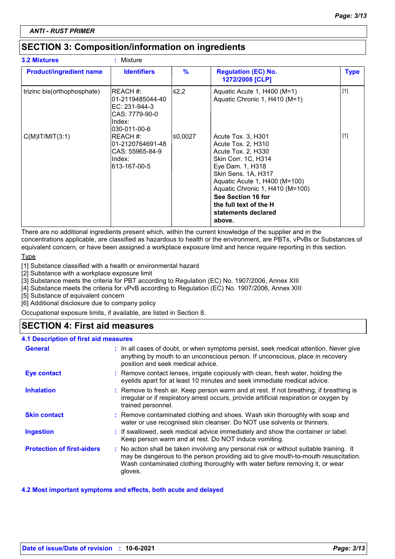### **SECTION 3: Composition/information on ingredients**

| <b>3.2 Mixtures</b>            | : Mixture                                                                                  |         |                                                                                                                                                                                                                                                                                       |             |
|--------------------------------|--------------------------------------------------------------------------------------------|---------|---------------------------------------------------------------------------------------------------------------------------------------------------------------------------------------------------------------------------------------------------------------------------------------|-------------|
| <b>Product/ingredient name</b> | <b>Identifiers</b>                                                                         | $\%$    | <b>Regulation (EC) No.</b><br>1272/2008 [CLP]                                                                                                                                                                                                                                         | <b>Type</b> |
| trizinc bis(orthophosphate)    | IREACH #:<br>01-2119485044-40<br>EC: 231-944-3<br>CAS: 7779-90-0<br>Index:<br>030-011-00-6 | l≤2,2   | Aquatic Acute 1, H400 (M=1)<br>Aquatic Chronic 1, H410 (M=1)                                                                                                                                                                                                                          | $[1]$       |
| $C(M)$ IT/MIT $(3:1)$          | REACH #:<br>01-2120764691-48<br>CAS: 55965-84-9<br>Index:<br>l613-167-00-5                 | ≤0,0027 | Acute Tox. 3, H301<br>Acute Tox. 2, H310<br>Acute Tox. 2, H330<br>Skin Corr. 1C, H314<br>Eye Dam. 1, H318<br>Skin Sens. 1A, H317<br>Aquatic Acute 1, H400 (M=100)<br>Aquatic Chronic 1, H410 (M=100)<br>See Section 16 for<br>the full text of the H<br>statements declared<br>above. | $[1]$       |

There are no additional ingredients present which, within the current knowledge of the supplier and in the

concentrations applicable, are classified as hazardous to health or the environment, are PBTs, vPvBs or Substances of equivalent concern, or have been assigned a workplace exposure limit and hence require reporting in this section.

**Type** 

[1] Substance classified with a health or environmental hazard

[2] Substance with a workplace exposure limit

[3] Substance meets the criteria for PBT according to Regulation (EC) No. 1907/2006, Annex XIII

[4] Substance meets the criteria for vPvB according to Regulation (EC) No. 1907/2006, Annex XIII

[5] Substance of equivalent concern

[6] Additional disclosure due to company policy

Occupational exposure limits, if available, are listed in Section 8.

### **SECTION 4: First aid measures**

#### **4.1 Description of first aid measures**

| <b>General</b>                    | : In all cases of doubt, or when symptoms persist, seek medical attention. Never give<br>anything by mouth to an unconscious person. If unconscious, place in recovery<br>position and seek medical advice.                                                              |
|-----------------------------------|--------------------------------------------------------------------------------------------------------------------------------------------------------------------------------------------------------------------------------------------------------------------------|
| <b>Eye contact</b>                | : Remove contact lenses, irrigate copiously with clean, fresh water, holding the<br>eyelids apart for at least 10 minutes and seek immediate medical advice.                                                                                                             |
| <b>Inhalation</b>                 | : Remove to fresh air. Keep person warm and at rest. If not breathing, if breathing is<br>irregular or if respiratory arrest occurs, provide artificial respiration or oxygen by<br>trained personnel.                                                                   |
| <b>Skin contact</b>               | : Remove contaminated clothing and shoes. Wash skin thoroughly with soap and<br>water or use recognised skin cleanser. Do NOT use solvents or thinners.                                                                                                                  |
| <b>Ingestion</b>                  | : If swallowed, seek medical advice immediately and show the container or label.<br>Keep person warm and at rest. Do NOT induce vomiting.                                                                                                                                |
| <b>Protection of first-aiders</b> | : No action shall be taken involving any personal risk or without suitable training. It<br>may be dangerous to the person providing aid to give mouth-to-mouth resuscitation.<br>Wash contaminated clothing thoroughly with water before removing it, or wear<br>gloves. |

#### **4.2 Most important symptoms and effects, both acute and delayed**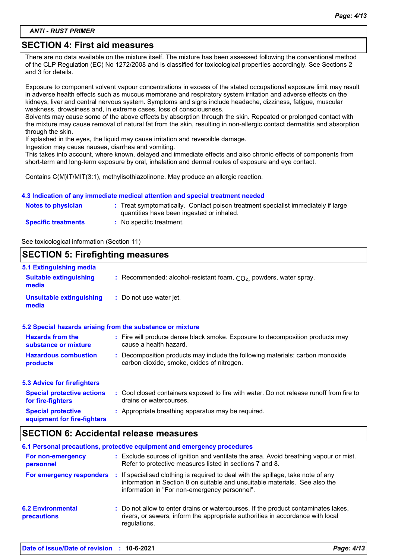*ANTI - RUST PRIMER*

### **SECTION 4: First aid measures**

There are no data available on the mixture itself. The mixture has been assessed following the conventional method of the CLP Regulation (EC) No 1272/2008 and is classified for toxicological properties accordingly. See Sections 2 and 3 for details.

Exposure to component solvent vapour concentrations in excess of the stated occupational exposure limit may result in adverse health effects such as mucous membrane and respiratory system irritation and adverse effects on the kidneys, liver and central nervous system. Symptoms and signs include headache, dizziness, fatigue, muscular weakness, drowsiness and, in extreme cases, loss of consciousness.

Solvents may cause some of the above effects by absorption through the skin. Repeated or prolonged contact with the mixture may cause removal of natural fat from the skin, resulting in non-allergic contact dermatitis and absorption through the skin.

If splashed in the eyes, the liquid may cause irritation and reversible damage.

Ingestion may cause nausea, diarrhea and vomiting.

This takes into account, where known, delayed and immediate effects and also chronic effects of components from short-term and long-term exposure by oral, inhalation and dermal routes of exposure and eye contact.

Contains C(M)IT/MIT(3:1), methylisothiazolinone. May produce an allergic reaction.

#### **4.3 Indication of any immediate medical attention and special treatment needed**

| <b>Notes to physician</b>  | : Treat symptomatically. Contact poison treatment specialist immediately if large<br>quantities have been ingested or inhaled. |
|----------------------------|--------------------------------------------------------------------------------------------------------------------------------|
| <b>Specific treatments</b> | :   No specific treatment.                                                                                                     |

See toxicological information (Section 11)

#### **SECTION 5: Firefighting measures** Recommended: alcohol-resistant foam, CO₂, powders, water spray. **: :** Do not use water jet. **Hazardous combustion products Hazards from the substance or mixture Special protective equipment for fire-fighters 5.1 Extinguishing media :** Fire will produce dense black smoke. Exposure to decomposition products may **:** Decomposition products may include the following materials: carbon monoxide, **:** Appropriate breathing apparatus may be required. **Suitable extinguishing media Unsuitable extinguishing media 5.2 Special hazards arising from the substance or mixture 5.3 Advice for firefighters Special protective actions for fire-fighters :** Cool closed containers exposed to fire with water. Do not release runoff from fire to cause a health hazard. drains or watercourses. carbon dioxide, smoke, oxides of nitrogen.

### **SECTION 6: Accidental release measures**

|                                         | 6.1 Personal precautions, protective equipment and emergency procedures                                                                                                                                              |
|-----------------------------------------|----------------------------------------------------------------------------------------------------------------------------------------------------------------------------------------------------------------------|
| For non-emergency<br>personnel          | : Exclude sources of ignition and ventilate the area. Avoid breathing vapour or mist.<br>Refer to protective measures listed in sections 7 and 8.                                                                    |
| For emergency responders                | If specialised clothing is required to deal with the spillage, take note of any<br>÷<br>information in Section 8 on suitable and unsuitable materials. See also the<br>information in "For non-emergency personnel". |
| <b>6.2 Environmental</b><br>precautions | : Do not allow to enter drains or watercourses. If the product contaminates lakes,<br>rivers, or sewers, inform the appropriate authorities in accordance with local<br>regulations.                                 |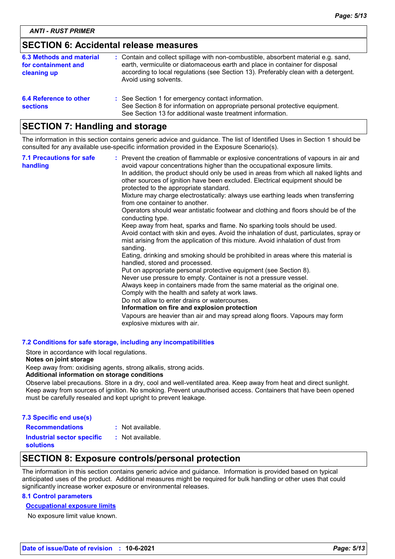### **SECTION 6: Accidental release measures**

| 6.3 Methods and material<br>for containment and<br>cleaning up | : Contain and collect spillage with non-combustible, absorbent material e.g. sand,<br>earth, vermiculite or diatomaceous earth and place in container for disposal<br>according to local regulations (see Section 13). Preferably clean with a detergent.<br>Avoid using solvents. |
|----------------------------------------------------------------|------------------------------------------------------------------------------------------------------------------------------------------------------------------------------------------------------------------------------------------------------------------------------------|
| 6.4 Reference to other<br><b>sections</b>                      | : See Section 1 for emergency contact information.<br>See Section 8 for information on appropriate personal protective equipment.<br>See Section 13 for additional waste treatment information.                                                                                    |

### **SECTION 7: Handling and storage**

The information in this section contains generic advice and guidance. The list of Identified Uses in Section 1 should be consulted for any available use-specific information provided in the Exposure Scenario(s).

| <b>7.1 Precautions for safe</b><br>handling | : Prevent the creation of flammable or explosive concentrations of vapours in air and<br>avoid vapour concentrations higher than the occupational exposure limits.<br>In addition, the product should only be used in areas from which all naked lights and<br>other sources of ignition have been excluded. Electrical equipment should be<br>protected to the appropriate standard.<br>Mixture may charge electrostatically: always use earthing leads when transferring<br>from one container to another.<br>Operators should wear antistatic footwear and clothing and floors should be of the<br>conducting type.<br>Keep away from heat, sparks and flame. No sparking tools should be used.<br>Avoid contact with skin and eyes. Avoid the inhalation of dust, particulates, spray or<br>mist arising from the application of this mixture. Avoid inhalation of dust from<br>sanding.<br>Eating, drinking and smoking should be prohibited in areas where this material is<br>handled, stored and processed.<br>Put on appropriate personal protective equipment (see Section 8).<br>Never use pressure to empty. Container is not a pressure vessel.<br>Always keep in containers made from the same material as the original one.<br>Comply with the health and safety at work laws.<br>Do not allow to enter drains or watercourses.<br>Information on fire and explosion protection<br>Vapours are heavier than air and may spread along floors. Vapours may form<br>explosive mixtures with air. |
|---------------------------------------------|--------------------------------------------------------------------------------------------------------------------------------------------------------------------------------------------------------------------------------------------------------------------------------------------------------------------------------------------------------------------------------------------------------------------------------------------------------------------------------------------------------------------------------------------------------------------------------------------------------------------------------------------------------------------------------------------------------------------------------------------------------------------------------------------------------------------------------------------------------------------------------------------------------------------------------------------------------------------------------------------------------------------------------------------------------------------------------------------------------------------------------------------------------------------------------------------------------------------------------------------------------------------------------------------------------------------------------------------------------------------------------------------------------------------------------------------------------------------------------------------------------------|
|---------------------------------------------|--------------------------------------------------------------------------------------------------------------------------------------------------------------------------------------------------------------------------------------------------------------------------------------------------------------------------------------------------------------------------------------------------------------------------------------------------------------------------------------------------------------------------------------------------------------------------------------------------------------------------------------------------------------------------------------------------------------------------------------------------------------------------------------------------------------------------------------------------------------------------------------------------------------------------------------------------------------------------------------------------------------------------------------------------------------------------------------------------------------------------------------------------------------------------------------------------------------------------------------------------------------------------------------------------------------------------------------------------------------------------------------------------------------------------------------------------------------------------------------------------------------|

#### **7.2 Conditions for safe storage, including any incompatibilities**

Store in accordance with local regulations.

#### **Notes on joint storage**

Keep away from: oxidising agents, strong alkalis, strong acids.

#### **Additional information on storage conditions**

Observe label precautions. Store in a dry, cool and well-ventilated area. Keep away from heat and direct sunlight. Keep away from sources of ignition. No smoking. Prevent unauthorised access. Containers that have been opened must be carefully resealed and kept upright to prevent leakage.

| 7.3 Specific end use(s)                               |                  |
|-------------------------------------------------------|------------------|
| <b>Recommendations</b>                                | : Not available. |
| <b>Industrial sector specific</b><br><b>solutions</b> | : Not available. |

### **SECTION 8: Exposure controls/personal protection**

The information in this section contains generic advice and guidance. Information is provided based on typical anticipated uses of the product. Additional measures might be required for bulk handling or other uses that could significantly increase worker exposure or environmental releases.

#### **8.1 Control parameters**

#### **Occupational exposure limits**

No exposure limit value known.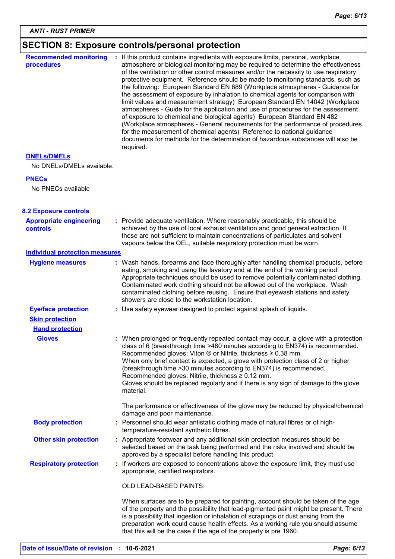# **SECTION 8: Exposure controls/personal protection**

| <b>Recommended monitoring</b><br>procedures       | : If this product contains ingredients with exposure limits, personal, workplace<br>atmosphere or biological monitoring may be required to determine the effectiveness<br>of the ventilation or other control measures and/or the necessity to use respiratory<br>protective equipment. Reference should be made to monitoring standards, such as<br>the following: European Standard EN 689 (Workplace atmospheres - Guidance for<br>the assessment of exposure by inhalation to chemical agents for comparison with<br>limit values and measurement strategy) European Standard EN 14042 (Workplace<br>atmospheres - Guide for the application and use of procedures for the assessment<br>of exposure to chemical and biological agents) European Standard EN 482<br>(Workplace atmospheres - General requirements for the performance of procedures<br>for the measurement of chemical agents) Reference to national guidance<br>documents for methods for the determination of hazardous substances will also be<br>required. |
|---------------------------------------------------|------------------------------------------------------------------------------------------------------------------------------------------------------------------------------------------------------------------------------------------------------------------------------------------------------------------------------------------------------------------------------------------------------------------------------------------------------------------------------------------------------------------------------------------------------------------------------------------------------------------------------------------------------------------------------------------------------------------------------------------------------------------------------------------------------------------------------------------------------------------------------------------------------------------------------------------------------------------------------------------------------------------------------------|
| <b>DNELS/DMELS</b>                                |                                                                                                                                                                                                                                                                                                                                                                                                                                                                                                                                                                                                                                                                                                                                                                                                                                                                                                                                                                                                                                    |
| No DNELs/DMELs available.                         |                                                                                                                                                                                                                                                                                                                                                                                                                                                                                                                                                                                                                                                                                                                                                                                                                                                                                                                                                                                                                                    |
| <b>PNECs</b>                                      |                                                                                                                                                                                                                                                                                                                                                                                                                                                                                                                                                                                                                                                                                                                                                                                                                                                                                                                                                                                                                                    |
| No PNECs available                                |                                                                                                                                                                                                                                                                                                                                                                                                                                                                                                                                                                                                                                                                                                                                                                                                                                                                                                                                                                                                                                    |
| <b>8.2 Exposure controls</b>                      |                                                                                                                                                                                                                                                                                                                                                                                                                                                                                                                                                                                                                                                                                                                                                                                                                                                                                                                                                                                                                                    |
| <b>Appropriate engineering</b><br><b>controls</b> | : Provide adequate ventilation. Where reasonably practicable, this should be<br>achieved by the use of local exhaust ventilation and good general extraction. If<br>these are not sufficient to maintain concentrations of particulates and solvent<br>vapours below the OEL, suitable respiratory protection must be worn.                                                                                                                                                                                                                                                                                                                                                                                                                                                                                                                                                                                                                                                                                                        |
| <b>Individual protection measures</b>             |                                                                                                                                                                                                                                                                                                                                                                                                                                                                                                                                                                                                                                                                                                                                                                                                                                                                                                                                                                                                                                    |
| <b>Hygiene measures</b>                           | : Wash hands, forearms and face thoroughly after handling chemical products, before<br>eating, smoking and using the lavatory and at the end of the working period.<br>Appropriate techniques should be used to remove potentially contaminated clothing.<br>Contaminated work clothing should not be allowed out of the workplace. Wash<br>contaminated clothing before reusing. Ensure that eyewash stations and safety<br>showers are close to the workstation location.                                                                                                                                                                                                                                                                                                                                                                                                                                                                                                                                                        |
| <b>Eye/face protection</b>                        | : Use safety eyewear designed to protect against splash of liquids.                                                                                                                                                                                                                                                                                                                                                                                                                                                                                                                                                                                                                                                                                                                                                                                                                                                                                                                                                                |
| <b>Skin protection</b>                            |                                                                                                                                                                                                                                                                                                                                                                                                                                                                                                                                                                                                                                                                                                                                                                                                                                                                                                                                                                                                                                    |
| <b>Hand protection</b>                            |                                                                                                                                                                                                                                                                                                                                                                                                                                                                                                                                                                                                                                                                                                                                                                                                                                                                                                                                                                                                                                    |
| <b>Gloves</b>                                     | : When prolonged or frequently repeated contact may occur, a glove with a protection<br>class of 6 (breakthrough time >480 minutes according to EN374) is recommended.<br>Recommended gloves: Viton $\circledR$ or Nitrile, thickness $\geq 0.38$ mm.<br>When only brief contact is expected, a glove with protection class of 2 or higher<br>(breakthrough time > 30 minutes according to EN374) is recommended.<br>Recommended gloves: Nitrile, thickness ≥ 0.12 mm.<br>Gloves should be replaced regularly and if there is any sign of damage to the glove<br>material.                                                                                                                                                                                                                                                                                                                                                                                                                                                         |
|                                                   | The performance or effectiveness of the glove may be reduced by physical/chemical<br>damage and poor maintenance.                                                                                                                                                                                                                                                                                                                                                                                                                                                                                                                                                                                                                                                                                                                                                                                                                                                                                                                  |
| <b>Body protection</b>                            | : Personnel should wear antistatic clothing made of natural fibres or of high-<br>temperature-resistant synthetic fibres.                                                                                                                                                                                                                                                                                                                                                                                                                                                                                                                                                                                                                                                                                                                                                                                                                                                                                                          |
| <b>Other skin protection</b>                      | : Appropriate footwear and any additional skin protection measures should be<br>selected based on the task being performed and the risks involved and should be<br>approved by a specialist before handling this product.                                                                                                                                                                                                                                                                                                                                                                                                                                                                                                                                                                                                                                                                                                                                                                                                          |
| <b>Respiratory protection</b>                     | : If workers are exposed to concentrations above the exposure limit, they must use<br>appropriate, certified respirators.                                                                                                                                                                                                                                                                                                                                                                                                                                                                                                                                                                                                                                                                                                                                                                                                                                                                                                          |
|                                                   | <b>OLD LEAD-BASED PAINTS:</b>                                                                                                                                                                                                                                                                                                                                                                                                                                                                                                                                                                                                                                                                                                                                                                                                                                                                                                                                                                                                      |
|                                                   | When surfaces are to be prepared for painting, account should be taken of the age<br>of the property and the possibility that lead-pigmented paint might be present. There<br>is a possibility that ingestion or inhalation of scrapings or dust arising from the<br>preparation work could cause health effects. As a working rule you should assume<br>that this will be the case if the age of the property is pre 1960.                                                                                                                                                                                                                                                                                                                                                                                                                                                                                                                                                                                                        |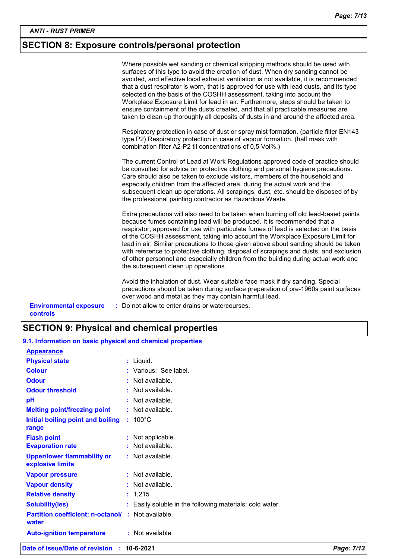### **SECTION 8: Exposure controls/personal protection**

|                                                  | Where possible wet sanding or chemical stripping methods should be used with<br>surfaces of this type to avoid the creation of dust. When dry sanding cannot be<br>avoided, and effective local exhaust ventilation is not available, it is recommended<br>that a dust respirator is worn, that is approved for use with lead dusts, and its type<br>selected on the basis of the COSHH assessment, taking into account the<br>Workplace Exposure Limit for lead in air. Furthermore, steps should be taken to<br>ensure containment of the dusts created, and that all practicable measures are<br>taken to clean up thoroughly all deposits of dusts in and around the affected area.<br>Respiratory protection in case of dust or spray mist formation. (particle filter EN143 |
|--------------------------------------------------|-----------------------------------------------------------------------------------------------------------------------------------------------------------------------------------------------------------------------------------------------------------------------------------------------------------------------------------------------------------------------------------------------------------------------------------------------------------------------------------------------------------------------------------------------------------------------------------------------------------------------------------------------------------------------------------------------------------------------------------------------------------------------------------|
|                                                  | type P2) Respiratory protection in case of vapour formation. (half mask with<br>combination filter A2-P2 til concentrations of 0,5 Vol%.)                                                                                                                                                                                                                                                                                                                                                                                                                                                                                                                                                                                                                                         |
|                                                  | The current Control of Lead at Work Regulations approved code of practice should<br>be consulted for advice on protective clothing and personal hygiene precautions.<br>Care should also be taken to exclude visitors, members of the household and<br>especially children from the affected area, during the actual work and the<br>subsequent clean up operations. All scrapings, dust, etc. should be disposed of by<br>the professional painting contractor as Hazardous Waste.                                                                                                                                                                                                                                                                                               |
|                                                  | Extra precautions will also need to be taken when burning off old lead-based paints<br>because fumes containing lead will be produced. It is recommended that a<br>respirator, approved for use with particulate fumes of lead is selected on the basis<br>of the COSHH assessment, taking into account the Workplace Exposure Limit for<br>lead in air. Similar precautions to those given above about sanding should be taken<br>with reference to protective clothing, disposal of scrapings and dusts, and exclusion<br>of other personnel and especially children from the building during actual work and<br>the subsequent clean up operations.                                                                                                                            |
|                                                  | Avoid the inhalation of dust. Wear suitable face mask if dry sanding. Special<br>precautions should be taken during surface preparation of pre-1960s paint surfaces<br>over wood and metal as they may contain harmful lead.                                                                                                                                                                                                                                                                                                                                                                                                                                                                                                                                                      |
| <b>Environmental exposure</b><br><b>controls</b> | : Do not allow to enter drains or watercourses.                                                                                                                                                                                                                                                                                                                                                                                                                                                                                                                                                                                                                                                                                                                                   |

### **SECTION 9: Physical and chemical properties**

| 9.1. Information on basic physical and chemical properties |                                                          |
|------------------------------------------------------------|----------------------------------------------------------|
| <b>Appearance</b>                                          |                                                          |
| <b>Physical state</b>                                      | : Liquid.                                                |
| <b>Colour</b>                                              | : Various: See label.                                    |
| <b>Odour</b>                                               | : Not available.                                         |
| <b>Odour threshold</b>                                     | : Not available.                                         |
| рH                                                         | : Not available.                                         |
| <b>Melting point/freezing point</b>                        | : Not available.                                         |
| Initial boiling point and boiling<br>range                 | $: 100^{\circ}$ C                                        |
| <b>Flash point</b>                                         | : Not applicable.                                        |
| <b>Evaporation rate</b>                                    | : Not available.                                         |
| <b>Upper/lower flammability or</b><br>explosive limits     | : Not available.                                         |
| <b>Vapour pressure</b>                                     | $:$ Not available.                                       |
| <b>Vapour density</b>                                      | : Not available.                                         |
| <b>Relative density</b>                                    | : 1,215                                                  |
| <b>Solubility(ies)</b>                                     | : Easily soluble in the following materials: cold water. |
| <b>Partition coefficient: n-octanol/</b><br>water          | : Not available.                                         |
| <b>Auto-ignition temperature</b>                           | : Not available.                                         |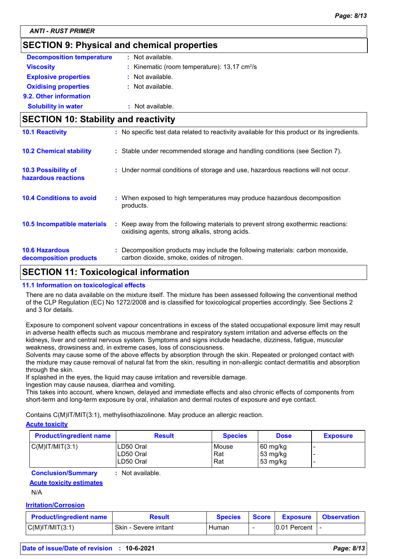### **SECTION 9: Physical and chemical properties**

| <b>Decomposition temperature</b> | : Not available.                                           |
|----------------------------------|------------------------------------------------------------|
| <b>Viscosity</b>                 | : Kinematic (room temperature): $13,17$ cm <sup>2</sup> /s |
| <b>Explosive properties</b>      | : Not available.                                           |
| <b>Oxidising properties</b>      | $:$ Not available.                                         |
| 9.2. Other information           |                                                            |
| <b>Solubility in water</b>       | : Not available.                                           |

# **SECTION 10: Stability and reactivity 10.2 Chemical stability :** Stable under recommended storage and handling conditions (see Section 7). **10.1 Reactivity :** No specific test data related to reactivity available for this product or its ingredients.

| 10.3 Possibility of<br>hazardous reactions      | : Under normal conditions of storage and use, hazardous reactions will not occur.                                                   |
|-------------------------------------------------|-------------------------------------------------------------------------------------------------------------------------------------|
| <b>10.4 Conditions to avoid</b>                 | : When exposed to high temperatures may produce hazardous decomposition<br>products.                                                |
| 10.5 Incompatible materials                     | : Keep away from the following materials to prevent strong exothermic reactions:<br>oxidising agents, strong alkalis, strong acids. |
| <b>10.6 Hazardous</b><br>decomposition products | : Decomposition products may include the following materials: carbon monoxide,<br>carbon dioxide, smoke, oxides of nitrogen.        |

### **SECTION 11: Toxicological information**

#### **11.1 Information on toxicological effects**

There are no data available on the mixture itself. The mixture has been assessed following the conventional method of the CLP Regulation (EC) No 1272/2008 and is classified for toxicological properties accordingly. See Sections 2 and 3 for details.

Exposure to component solvent vapour concentrations in excess of the stated occupational exposure limit may result in adverse health effects such as mucous membrane and respiratory system irritation and adverse effects on the kidneys, liver and central nervous system. Symptoms and signs include headache, dizziness, fatigue, muscular weakness, drowsiness and, in extreme cases, loss of consciousness.

Solvents may cause some of the above effects by absorption through the skin. Repeated or prolonged contact with the mixture may cause removal of natural fat from the skin, resulting in non-allergic contact dermatitis and absorption through the skin.

If splashed in the eyes, the liquid may cause irritation and reversible damage.

Ingestion may cause nausea, diarrhea and vomiting.

This takes into account, where known, delayed and immediate effects and also chronic effects of components from short-term and long-term exposure by oral, inhalation and dermal routes of exposure and eye contact.

Contains C(M)IT/MIT(3:1), methylisothiazolinone. May produce an allergic reaction.

#### **Acute toxicity**

| <b>Product/ingredient name</b> | <b>Result</b> | <b>Species</b> | <b>Dose</b>        | <b>Exposure</b> |
|--------------------------------|---------------|----------------|--------------------|-----------------|
| $C(M)$ IT/MIT $(3:1)$          | LD50 Oral     | Mouse          | $60 \text{ mg/kg}$ |                 |
|                                | LD50 Oral     | Rat            | $53 \text{ mg/kg}$ |                 |
|                                | LD50 Oral     | Rat            | $53 \text{ mg/kg}$ |                 |

**Conclusion/Summary :** Not available.

**Acute toxicity estimates**

N/A

#### **Irritation/Corrosion**

| <b>Product/ingredient name</b> | Result                 | <b>Species</b> | Score | Exposure      | <b>Observation</b> |
|--------------------------------|------------------------|----------------|-------|---------------|--------------------|
| $C(M)$ IT/MIT $(3:1)$          | Skin - Severe irritant | Human          | -     | 10.01 Percent |                    |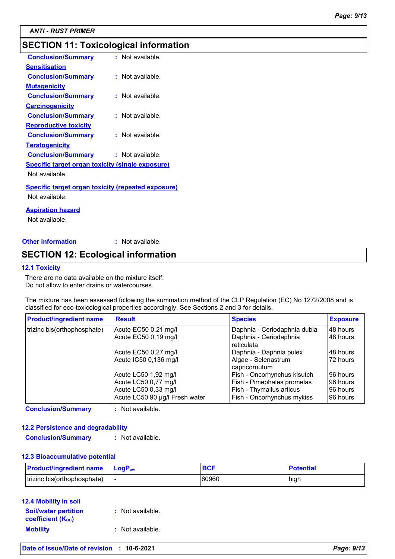*ANTI - RUST PRIMER*

### **SECTION 11: Toxicological information**

| <b>Conclusion/Summary</b>                                 | : Not available. |
|-----------------------------------------------------------|------------------|
| <b>Sensitisation</b>                                      |                  |
| <b>Conclusion/Summary</b>                                 | : Not available. |
| <u>Mutagenicity</u>                                       |                  |
| <b>Conclusion/Summary</b>                                 | : Not available. |
| <b>Carcinogenicity</b>                                    |                  |
| <b>Conclusion/Summary</b>                                 | : Not available. |
| <b>Reproductive toxicity</b>                              |                  |
| <b>Conclusion/Summary</b>                                 | : Not available. |
| <b>Teratogenicity</b>                                     |                  |
| <b>Conclusion/Summary</b>                                 | : Not available. |
| <b>Specific target organ toxicity (single exposure)</b>   |                  |
| Not available.                                            |                  |
| <u>Specific target organ toxicity (repeated exposure)</u> |                  |
| Not available.                                            |                  |
| <u>Aspiration hazard</u>                                  |                  |
|                                                           |                  |

Not available.

**Other information :** : Not available.

### **SECTION 12: Ecological information**

#### **12.1 Toxicity**

There are no data available on the mixture itself. Do not allow to enter drains or watercourses.

The mixture has been assessed following the summation method of the CLP Regulation (EC) No 1272/2008 and is classified for eco-toxicological properties accordingly. See Sections 2 and 3 for details.

| <b>Product/ingredient name</b> | <b>Result</b>                  | <b>Species</b>                       | <b>Exposure</b> |
|--------------------------------|--------------------------------|--------------------------------------|-----------------|
| trizinc bis(orthophosphate)    | Acute EC50 0,21 mg/l           | Daphnia - Ceriodaphnia dubia         | 48 hours        |
|                                | Acute EC50 0,19 mg/l           | Daphnia - Ceriodaphnia<br>reticulata | 48 hours        |
|                                | Acute EC50 0,27 mg/l           | Daphnia - Daphnia pulex              | 48 hours        |
|                                | Acute IC50 0,136 mg/l          | Algae - Selenastrum<br>capricornutum | 172 hours       |
|                                | Acute LC50 1,92 mg/l           | Fish - Oncorhynchus kisutch          | 96 hours        |
|                                | Acute LC50 0,77 mg/l           | Fish - Pimephales promelas           | 96 hours        |
|                                | Acute LC50 0,33 mg/l           | Fish - Thymallus articus             | 96 hours        |
|                                | Acute LC50 90 µg/l Fresh water | Fish - Oncorhynchus mykiss           | 96 hours        |

**Conclusion/Summary :** Not available.

#### **12.2 Persistence and degradability**

**Conclusion/Summary :** Not available.

#### **12.3 Bioaccumulative potential**

| <b>Product/ingredient name</b> | <b>LogP</b> <sub>ow</sub> | <b>BCF</b> | <b>Potential</b> |
|--------------------------------|---------------------------|------------|------------------|
| trizinc bis(orthophosphate)    |                           | 60960      | high             |

#### **12.4 Mobility in soil**

| <b>Soil/water partition</b> | : Not available. |
|-----------------------------|------------------|
| <b>coefficient (Koc)</b>    |                  |
| <b>Mobility</b>             | : Not available. |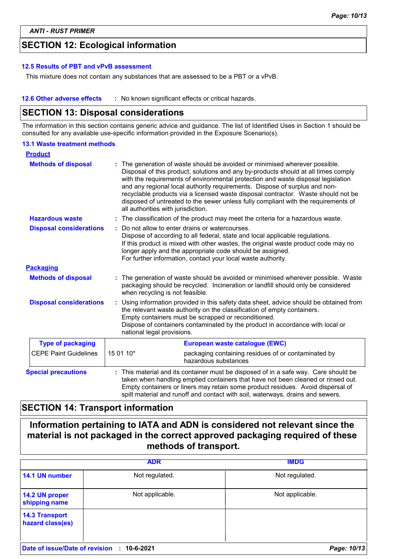### **SECTION 12: Ecological information**

#### **12.5 Results of PBT and vPvB assessment**

This mixture does not contain any substances that are assessed to be a PBT or a vPvB.

**12.6 Other adverse effects** : No known significant effects or critical hazards.

### **SECTION 13: Disposal considerations**

The information in this section contains generic advice and guidance. The list of Identified Uses in Section 1 should be consulted for any available use-specific information provided in the Exposure Scenario(s).

#### **13.1 Waste treatment methods**

| <b>Product</b>                 |                                                                                                                                                                                                                                                                                                                                                  |                                                                                                                                                                                                                                                                                                                                                                                                                                                                                                                                                    |
|--------------------------------|--------------------------------------------------------------------------------------------------------------------------------------------------------------------------------------------------------------------------------------------------------------------------------------------------------------------------------------------------|----------------------------------------------------------------------------------------------------------------------------------------------------------------------------------------------------------------------------------------------------------------------------------------------------------------------------------------------------------------------------------------------------------------------------------------------------------------------------------------------------------------------------------------------------|
| <b>Methods of disposal</b>     |                                                                                                                                                                                                                                                                                                                                                  | The generation of waste should be avoided or minimised wherever possible.<br>Disposal of this product, solutions and any by-products should at all times comply<br>with the requirements of environmental protection and waste disposal legislation<br>and any regional local authority requirements. Dispose of surplus and non-<br>recyclable products via a licensed waste disposal contractor. Waste should not be<br>disposed of untreated to the sewer unless fully compliant with the requirements of<br>all authorities with jurisdiction. |
| <b>Hazardous waste</b>         |                                                                                                                                                                                                                                                                                                                                                  | : The classification of the product may meet the criteria for a hazardous waste.                                                                                                                                                                                                                                                                                                                                                                                                                                                                   |
| <b>Disposal considerations</b> | Do not allow to enter drains or watercourses.<br>Dispose of according to all federal, state and local applicable regulations.<br>If this product is mixed with other wastes, the original waste product code may no<br>longer apply and the appropriate code should be assigned.<br>For further information, contact your local waste authority. |                                                                                                                                                                                                                                                                                                                                                                                                                                                                                                                                                    |
| <b>Packaging</b>               |                                                                                                                                                                                                                                                                                                                                                  |                                                                                                                                                                                                                                                                                                                                                                                                                                                                                                                                                    |
| <b>Methods of disposal</b>     | The generation of waste should be avoided or minimised wherever possible. Waste<br>packaging should be recycled. Incineration or landfill should only be considered<br>when recycling is not feasible.                                                                                                                                           |                                                                                                                                                                                                                                                                                                                                                                                                                                                                                                                                                    |
| <b>Disposal considerations</b> | Using information provided in this safety data sheet, advice should be obtained from<br>÷.<br>the relevant waste authority on the classification of empty containers.<br>Empty containers must be scrapped or reconditioned.<br>Dispose of containers contaminated by the product in accordance with local or<br>national legal provisions.      |                                                                                                                                                                                                                                                                                                                                                                                                                                                                                                                                                    |
| <b>Type of packaging</b>       |                                                                                                                                                                                                                                                                                                                                                  | European waste catalogue (EWC)                                                                                                                                                                                                                                                                                                                                                                                                                                                                                                                     |
| <b>CEPE Paint Guidelines</b>   | 15 01 10*                                                                                                                                                                                                                                                                                                                                        | packaging containing residues of or contaminated by<br>hazardous substances                                                                                                                                                                                                                                                                                                                                                                                                                                                                        |
| <b>Special precautions</b>     |                                                                                                                                                                                                                                                                                                                                                  | This material and its container must be disposed of in a safe way. Care should be<br>taken when handling emptied containers that have not been cleaned or rinsed out.<br>Empty containers or liners may retain some product residues. Avoid dispersal of<br>spilt material and runoff and contact with soil, waterways, drains and sewers.                                                                                                                                                                                                         |

### **SECTION 14: Transport information**

**Information pertaining to IATA and ADN is considered not relevant since the material is not packaged in the correct approved packaging required of these methods of transport.**

|                                            | <b>ADR</b>      | <b>IMDG</b>     |
|--------------------------------------------|-----------------|-----------------|
| 14.1 UN number                             | Not regulated.  | Not regulated.  |
| 14.2 UN proper<br>shipping name            | Not applicable. | Not applicable. |
| <b>14.3 Transport</b><br>hazard class(es)  |                 |                 |
| Date of issue/Date of revision : 10-6-2021 |                 | Page: 10/13     |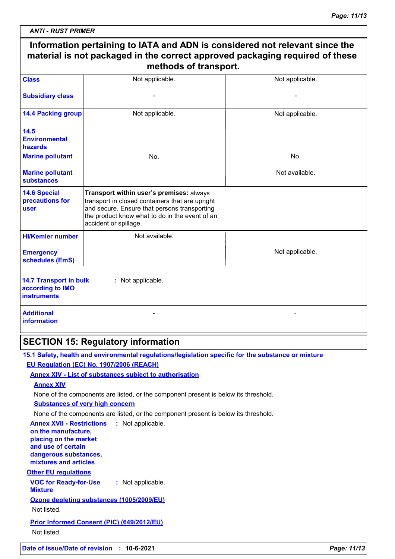| <b>ANTI - RUST PRIMER</b> |  |  |  |
|---------------------------|--|--|--|
|                           |  |  |  |

 $\overline{\phantom{a}}$ 

| <b>Class</b>                                                            | Not applicable.                                                                                                                                                                                                        | Not applicable. |
|-------------------------------------------------------------------------|------------------------------------------------------------------------------------------------------------------------------------------------------------------------------------------------------------------------|-----------------|
| <b>Subsidiary class</b>                                                 |                                                                                                                                                                                                                        |                 |
| <b>14.4 Packing group</b>                                               | Not applicable.                                                                                                                                                                                                        | Not applicable. |
| 14.5<br><b>Environmental</b><br>hazards                                 |                                                                                                                                                                                                                        |                 |
| <b>Marine pollutant</b>                                                 | No.                                                                                                                                                                                                                    | No.             |
| <b>Marine pollutant</b><br><b>substances</b>                            |                                                                                                                                                                                                                        | Not available.  |
| <b>14.6 Special</b><br>precautions for<br>user                          | Transport within user's premises: always<br>transport in closed containers that are upright<br>and secure. Ensure that persons transporting<br>the product know what to do in the event of an<br>accident or spillage. |                 |
| <b>HI/Kemler number</b>                                                 | Not available.                                                                                                                                                                                                         |                 |
| <b>Emergency</b><br>schedules (EmS)                                     |                                                                                                                                                                                                                        | Not applicable. |
| <b>14.7 Transport in bulk</b><br>according to IMO<br><b>instruments</b> | : Not applicable.                                                                                                                                                                                                      |                 |
| <b>Additional</b><br>information                                        |                                                                                                                                                                                                                        |                 |
|                                                                         | <b>SECTION 15: Regulatory information</b>                                                                                                                                                                              |                 |
|                                                                         | 15.1 Safety, health and environmental regulations/legislation specific for the substance or mixture                                                                                                                    |                 |
|                                                                         | EU Regulation (EC) No. 1907/2006 (REACH)                                                                                                                                                                               |                 |
|                                                                         | <b>Annex XIV - List of substances subject to authorisation</b>                                                                                                                                                         |                 |
| <b>Annex XIV</b>                                                        | None of the components are listed, or the component present is below its threshold.                                                                                                                                    |                 |
|                                                                         | <b>Substances of very high concern</b>                                                                                                                                                                                 |                 |
|                                                                         | None of the components are listed, or the component present is below its threshold.                                                                                                                                    |                 |

**VOC for Ready-for-Use Mixture :** Not applicable. **Other EU regulations Annex XVII - Restrictions : Not applicable. on the manufacture, placing on the market and use of certain dangerous substances, mixtures and articles Ozone depleting substances (1005/2009/EU)** Not listed.

### **Prior Informed Consent (PIC) (649/2012/EU)**

Not listed.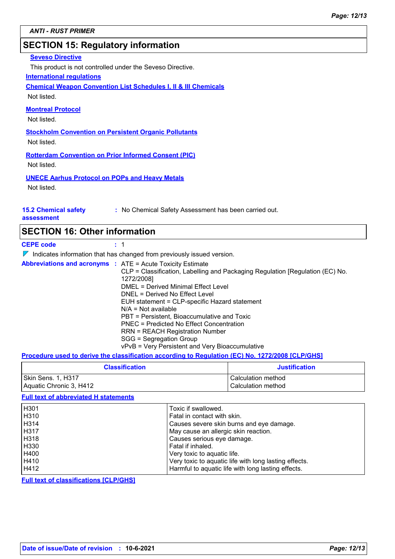### **SECTION 15: Regulatory information**

#### **Seveso Directive**

This product is not controlled under the Seveso Directive.

#### **International regulations**

**Chemical Weapon Convention List Schedules I, II & III Chemicals**

Not listed.

#### **Montreal Protocol**

Not listed.

**Stockholm Convention on Persistent Organic Pollutants** Not listed.

**Rotterdam Convention on Prior Informed Consent (PIC)**

Not listed.

**UNECE Aarhus Protocol on POPs and Heavy Metals** Not listed.

#### **15.2 Chemical safety assessment**

**:** No Chemical Safety Assessment has been carried out.

### **SECTION 16: Other information**

**CEPE code :** 1

 $\nabla$  Indicates information that has changed from previously issued version.

**Abbreviations and acronyms :** ATE = Acute Toxicity Estimate CLP = Classification, Labelling and Packaging Regulation [Regulation (EC) No. 1272/2008] DMEL = Derived Minimal Effect Level DNEL = Derived No Effect Level EUH statement = CLP-specific Hazard statement N/A = Not available PBT = Persistent, Bioaccumulative and Toxic PNEC = Predicted No Effect Concentration RRN = REACH Registration Number SGG = Segregation Group vPvB = Very Persistent and Very Bioaccumulative

#### **Procedure used to derive the classification according to Regulation (EC) No. 1272/2008 [CLP/GHS]**

| <b>Classification</b>   | <b>Justification</b> |
|-------------------------|----------------------|
| Skin Sens. 1, H317      | l Calculation method |
| Aquatic Chronic 3, H412 | Calculation method   |

#### **Full text of abbreviated H statements**

| H301        | Toxic if swallowed.                                   |
|-------------|-------------------------------------------------------|
| H310        | Fatal in contact with skin.                           |
| H314        | Causes severe skin burns and eye damage.              |
| <b>H317</b> | May cause an allergic skin reaction.                  |
| H318        | Causes serious eye damage.                            |
| H330        | Fatal if inhaled.                                     |
| H400        | Very toxic to aquatic life.                           |
| H410        | Very toxic to aquatic life with long lasting effects. |
| H412        | Harmful to aquatic life with long lasting effects.    |

**Full text of classifications [CLP/GHS]**